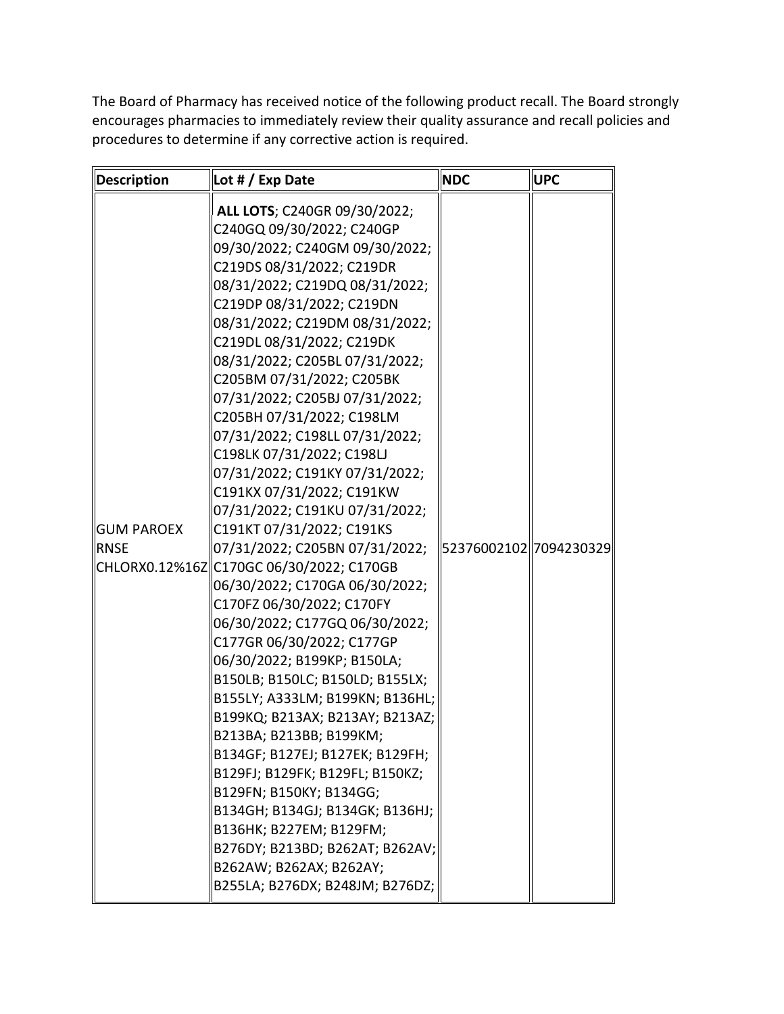The Board of Pharmacy has received notice of the following product recall. The Board strongly encourages pharmacies to immediately review their quality assurance and recall policies and procedures to determine if any corrective action is required.

| Description               | Lot # / Exp Date                                                                                                                                                                                                                                                                                                                                                                                                                                                                                                                                                                                                                                                                                                                                                                                                                                                                                                                                                                                                                                                                                        | <b>NDC</b>              | <b>UPC</b> |
|---------------------------|---------------------------------------------------------------------------------------------------------------------------------------------------------------------------------------------------------------------------------------------------------------------------------------------------------------------------------------------------------------------------------------------------------------------------------------------------------------------------------------------------------------------------------------------------------------------------------------------------------------------------------------------------------------------------------------------------------------------------------------------------------------------------------------------------------------------------------------------------------------------------------------------------------------------------------------------------------------------------------------------------------------------------------------------------------------------------------------------------------|-------------------------|------------|
| GUM PAROEX<br><b>RNSE</b> | ALL LOTS; C240GR 09/30/2022;<br>C240GQ 09/30/2022; C240GP<br>09/30/2022; C240GM 09/30/2022;<br>C219DS 08/31/2022; C219DR<br>08/31/2022; C219DQ 08/31/2022;<br>C219DP 08/31/2022; C219DN<br>08/31/2022; C219DM 08/31/2022;<br>C219DL 08/31/2022; C219DK<br>08/31/2022; C205BL 07/31/2022;<br>C205BM 07/31/2022; C205BK<br>07/31/2022; C205BJ 07/31/2022;<br>C205BH 07/31/2022; C198LM<br>07/31/2022; C198LL 07/31/2022;<br>C198LK 07/31/2022; C198LJ<br>07/31/2022; C191KY 07/31/2022;<br>C191KX 07/31/2022; C191KW<br>07/31/2022; C191KU 07/31/2022;<br>C191KT 07/31/2022; C191KS<br>07/31/2022; C205BN 07/31/2022;<br>  CHLORX0.12%16Z  C170GC 06/30/2022; C170GB<br>06/30/2022; C170GA 06/30/2022;<br>C170FZ 06/30/2022; C170FY<br>06/30/2022; C177GQ 06/30/2022;<br>C177GR 06/30/2022; C177GP<br>06/30/2022; B199KP; B150LA;<br>B150LB; B150LC; B150LD; B155LX;<br>B155LY; A333LM; B199KN; B136HL;<br>B199KQ; B213AX; B213AY; B213AZ;<br>B213BA; B213BB; B199KM;<br>B134GF; B127EJ; B127EK; B129FH;<br>B129FJ; B129FK; B129FL; B150KZ;<br>B129FN; B150KY; B134GG;<br>B134GH; B134GJ; B134GK; B136HJ; | 52376002102  7094230329 |            |
|                           | B136HK; B227EM; B129FM;<br>B276DY; B213BD; B262AT; B262AV;<br>B262AW; B262AX; B262AY;<br>B255LA; B276DX; B248JM; B276DZ;                                                                                                                                                                                                                                                                                                                                                                                                                                                                                                                                                                                                                                                                                                                                                                                                                                                                                                                                                                                |                         |            |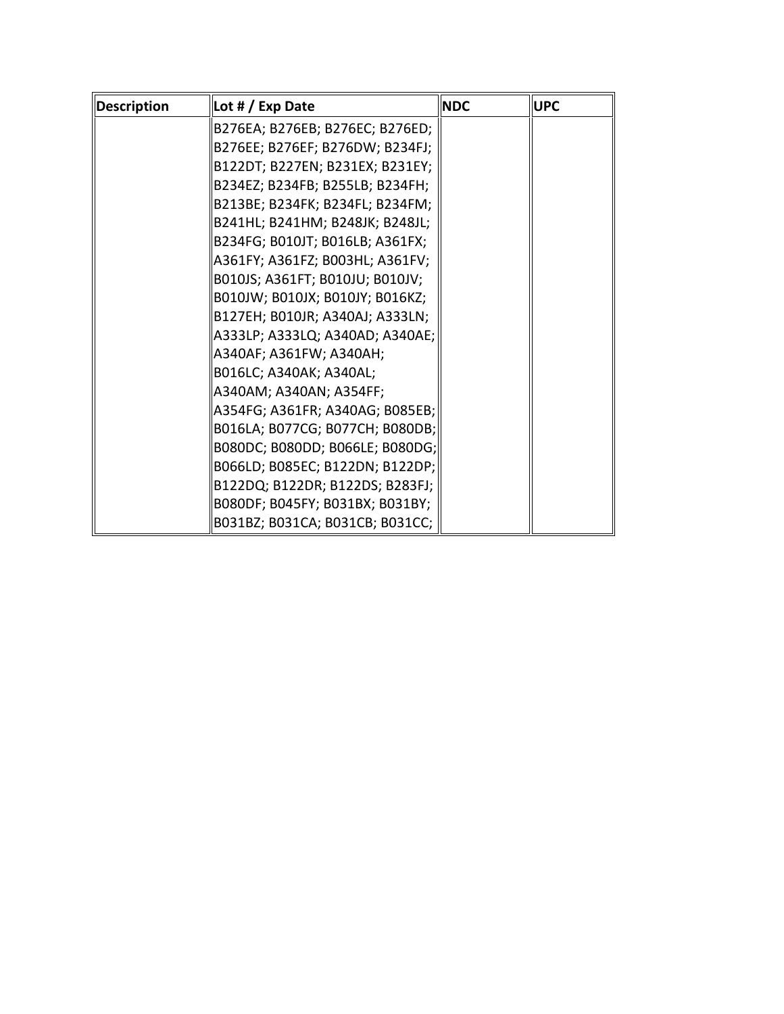| <b>Description</b> | Lot # / Exp Date                | <b>NDC</b> | <b>UPC</b> |
|--------------------|---------------------------------|------------|------------|
|                    | B276EA; B276EB; B276EC; B276ED; |            |            |
|                    | B276EE; B276EF; B276DW; B234FJ; |            |            |
|                    | B122DT; B227EN; B231EX; B231EY; |            |            |
|                    | B234EZ; B234FB; B255LB; B234FH; |            |            |
|                    | B213BE; B234FK; B234FL; B234FM; |            |            |
|                    | B241HL; B241HM; B248JK; B248JL; |            |            |
|                    | B234FG; B010JT; B016LB; A361FX; |            |            |
|                    | A361FY; A361FZ; B003HL; A361FV; |            |            |
|                    | B010JS; A361FT; B010JU; B010JV; |            |            |
|                    | B010JW; B010JX; B010JY; B016KZ; |            |            |
|                    | B127EH; B010JR; A340AJ; A333LN; |            |            |
|                    | A333LP; A333LQ; A340AD; A340AE; |            |            |
|                    | A340AF; A361FW; A340AH;         |            |            |
|                    | B016LC; A340AK; A340AL;         |            |            |
|                    | A340AM; A340AN; A354FF;         |            |            |
|                    | A354FG; A361FR; A340AG; B085EB; |            |            |
|                    | B016LA; B077CG; B077CH; B080DB; |            |            |
|                    | B080DC; B080DD; B066LE; B080DG; |            |            |
|                    | B066LD; B085EC; B122DN; B122DP; |            |            |
|                    | B122DQ; B122DR; B122DS; B283FJ; |            |            |
|                    | B080DF; B045FY; B031BX; B031BY; |            |            |
|                    | B031BZ; B031CA; B031CB; B031CC; |            |            |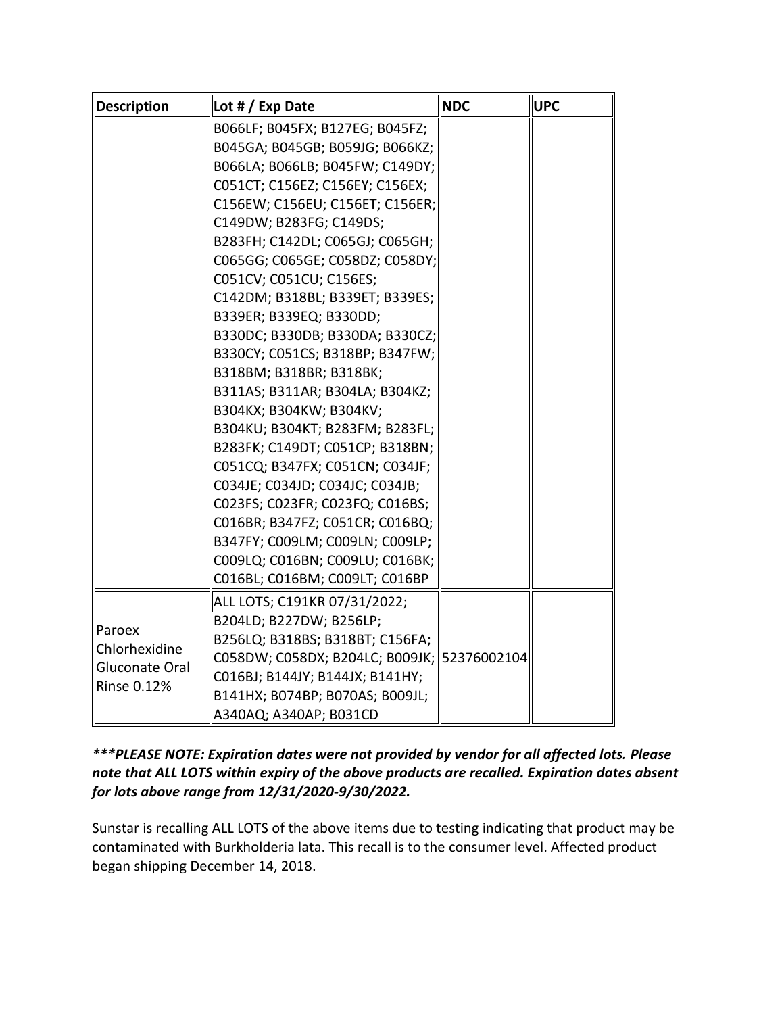| <b>Description</b>                                         | Lot # / Exp Date                            | <b>NDC</b> | <b>UPC</b> |
|------------------------------------------------------------|---------------------------------------------|------------|------------|
|                                                            | B066LF; B045FX; B127EG; B045FZ;             |            |            |
|                                                            | B045GA; B045GB; B059JG; B066KZ;             |            |            |
|                                                            | B066LA; B066LB; B045FW; C149DY;             |            |            |
|                                                            | C051CT; C156EZ; C156EY; C156EX;             |            |            |
|                                                            | C156EW; C156EU; C156ET; C156ER;             |            |            |
|                                                            | C149DW; B283FG; C149DS;                     |            |            |
|                                                            | B283FH; C142DL; C065GJ; C065GH;             |            |            |
|                                                            | C065GG; C065GE; C058DZ; C058DY;             |            |            |
|                                                            | C051CV; C051CU; C156ES;                     |            |            |
|                                                            | C142DM; B318BL; B339ET; B339ES;             |            |            |
|                                                            | B339ER; B339EQ; B330DD;                     |            |            |
|                                                            | B330DC; B330DB; B330DA; B330CZ;             |            |            |
|                                                            | B330CY; C051CS; B318BP; B347FW;             |            |            |
|                                                            | B318BM; B318BR; B318BK;                     |            |            |
|                                                            | B311AS; B311AR; B304LA; B304KZ;             |            |            |
|                                                            | B304KX; B304KW; B304KV;                     |            |            |
|                                                            | B304KU; B304KT; B283FM; B283FL;             |            |            |
|                                                            | B283FK; C149DT; C051CP; B318BN;             |            |            |
|                                                            | C051CQ; B347FX; C051CN; C034JF;             |            |            |
|                                                            | C034JE; C034JD; C034JC; C034JB;             |            |            |
|                                                            | C023FS; C023FR; C023FQ; C016BS;             |            |            |
|                                                            | C016BR; B347FZ; C051CR; C016BQ;             |            |            |
|                                                            | B347FY; C009LM; C009LN; C009LP;             |            |            |
|                                                            | C009LQ; C016BN; C009LU; C016BK;             |            |            |
|                                                            | C016BL; C016BM; C009LT; C016BP              |            |            |
| llParoex<br>Chlorhexidine<br>Gluconate Oral<br>Rinse 0.12% | ALL LOTS; C191KR 07/31/2022;                |            |            |
|                                                            | B204LD; B227DW; B256LP;                     |            |            |
|                                                            | B256LQ; B318BS; B318BT; C156FA;             |            |            |
|                                                            | C058DW; C058DX; B204LC; B009JK; 52376002104 |            |            |
|                                                            | C016BJ; B144JY; B144JX; B141HY;             |            |            |
|                                                            | B141HX; B074BP; B070AS; B009JL;             |            |            |
|                                                            | A340AQ; A340AP; B031CD                      |            |            |

 *note that ALL LOTS within expiry of the above products are recalled. Expiration dates absent \*\*\*PLEASE NOTE: Expiration dates were not provided by vendor for all affected lots. Please for lots above range from 12/31/2020-9/30/2022.* 

 Sunstar is recalling ALL LOTS of the above items due to testing indicating that product may be contaminated with Burkholderia lata. This recall is to the consumer level. Affected product began shipping December 14, 2018.